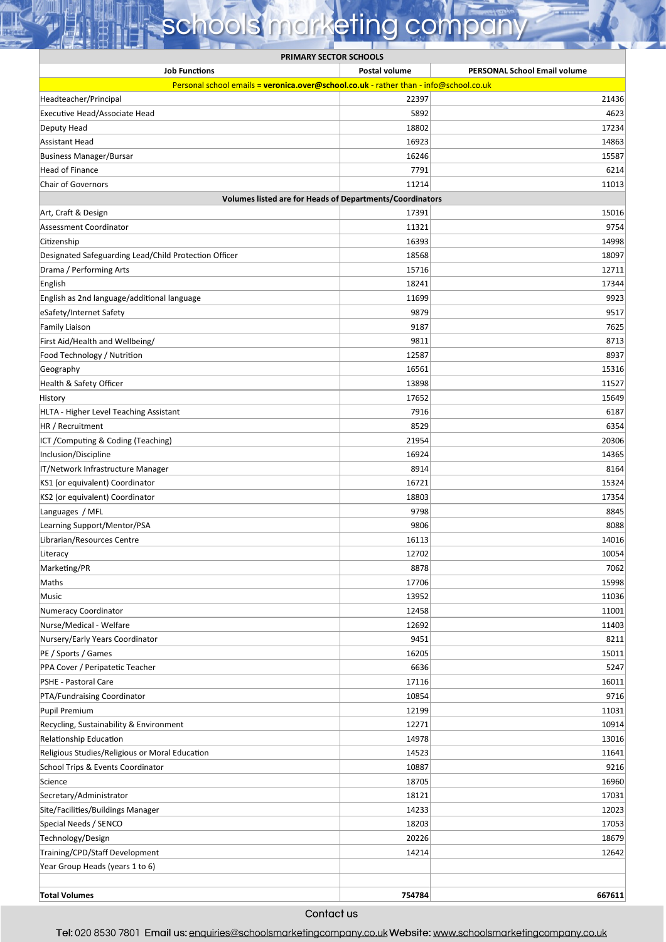## schools marketing company

| <b>PRIMARY SECTOR SCHOOLS</b>                                                         |               |                                     |  |
|---------------------------------------------------------------------------------------|---------------|-------------------------------------|--|
| <b>Job Functions</b>                                                                  | Postal volume | <b>PERSONAL School Email volume</b> |  |
| Personal school emails = veronica.over@school.co.uk - rather than - info@school.co.uk |               |                                     |  |
| Headteacher/Principal                                                                 | 22397         | 21436                               |  |
| Executive Head/Associate Head                                                         | 5892          | 4623                                |  |
| Deputy Head                                                                           | 18802         | 17234                               |  |
| Assistant Head                                                                        | 16923         | 14863                               |  |
|                                                                                       | 16246         | 15587                               |  |
| Business Manager/Bursar<br><b>Head of Finance</b>                                     |               |                                     |  |
|                                                                                       | 7791          | 6214                                |  |
| <b>Chair of Governors</b>                                                             | 11214         | 11013                               |  |
| Volumes listed are for Heads of Departments/Coordinators                              |               |                                     |  |
| Art, Craft & Design                                                                   | 17391         | 15016                               |  |
| Assessment Coordinator                                                                | 11321         | 9754                                |  |
| Citizenship                                                                           | 16393         | 14998                               |  |
| Designated Safeguarding Lead/Child Protection Officer                                 | 18568         | 18097                               |  |
| Drama / Performing Arts                                                               | 15716         | 12711                               |  |
| English                                                                               | 18241         | 17344                               |  |
| English as 2nd language/additional language                                           | 11699         | 9923                                |  |
| eSafety/Internet Safety                                                               | 9879          | 9517                                |  |
| <b>Family Liaison</b>                                                                 | 9187          | 7625                                |  |
|                                                                                       | 9811          |                                     |  |
| First Aid/Health and Wellbeing/                                                       |               | 8713                                |  |
| Food Technology / Nutrition                                                           | 12587         | 8937                                |  |
| Geography                                                                             | 16561         | 15316                               |  |
| Health & Safety Officer                                                               | 13898         | 11527                               |  |
| History                                                                               | 17652         | 15649                               |  |
| HLTA - Higher Level Teaching Assistant                                                | 7916          | 6187                                |  |
| HR / Recruitment                                                                      | 8529          | 6354                                |  |
| ICT / Computing & Coding (Teaching)                                                   | 21954         | 20306                               |  |
| Inclusion/Discipline                                                                  | 16924         | 14365                               |  |
| IT/Network Infrastructure Manager                                                     | 8914          | 8164                                |  |
| KS1 (or equivalent) Coordinator                                                       | 16721         | 15324                               |  |
| KS2 (or equivalent) Coordinator                                                       | 18803         | 17354                               |  |
|                                                                                       |               |                                     |  |
| Languages / MFL                                                                       | 9798          | 8845                                |  |
| Learning Support/Mentor/PSA                                                           | 9806          | 8088                                |  |
| Librarian/Resources Centre                                                            | 16113         | 14016                               |  |
| Literacy                                                                              | 12702         | 10054                               |  |
| Marketing/PR                                                                          | 8878          | 7062                                |  |
| Maths                                                                                 | 17706         | 15998                               |  |
| Music                                                                                 | 13952         | 11036                               |  |
| Numeracy Coordinator                                                                  | 12458         | 11001                               |  |
| Nurse/Medical - Welfare                                                               | 12692         | 11403                               |  |
| Nursery/Early Years Coordinator                                                       | 9451          | 8211                                |  |
| PE / Sports / Games                                                                   | 16205         | 15011                               |  |
| PPA Cover / Peripatetic Teacher                                                       | 6636          | 5247                                |  |
|                                                                                       | 17116         | 16011                               |  |
| PSHE - Pastoral Care                                                                  |               |                                     |  |
| PTA/Fundraising Coordinator                                                           | 10854         | 9716                                |  |
| Pupil Premium                                                                         | 12199         | 11031                               |  |
| Recycling, Sustainability & Environment                                               | 12271         | 10914                               |  |
| <b>Relationship Education</b>                                                         | 14978         | 13016                               |  |
| Religious Studies/Religious or Moral Education                                        | 14523         | 11641                               |  |
| School Trips & Events Coordinator                                                     | 10887         | 9216                                |  |
| Science                                                                               | 18705         | 16960                               |  |
| Secretary/Administrator                                                               | 18121         | 17031                               |  |
| Site/Facilities/Buildings Manager                                                     | 14233         | 12023                               |  |
| Special Needs / SENCO                                                                 | 18203         | 17053                               |  |
| Technology/Design                                                                     | 20226         | 18679                               |  |
|                                                                                       |               |                                     |  |
| Training/CPD/Staff Development                                                        | 14214         | 12642                               |  |
| Year Group Heads (years 1 to 6)                                                       |               |                                     |  |
|                                                                                       |               |                                     |  |
| <b>Total Volumes</b>                                                                  | 754784        | 667611                              |  |

Contact us

Tel: 020 8530 7801 Email us: enquiries@schoolsmarketingcompany.co.uk Website: www.schoolsmarketingcompany.co.uk